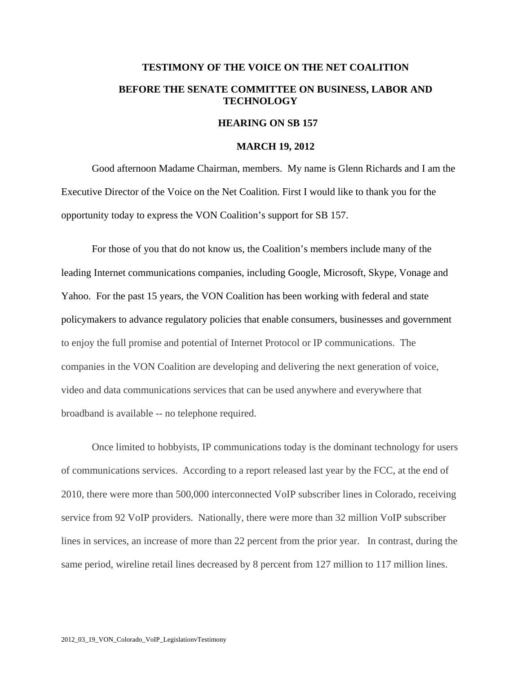## **TESTIMONY OF THE VOICE ON THE NET COALITION BEFORE THE SENATE COMMITTEE ON BUSINESS, LABOR AND TECHNOLOGY**

## **HEARING ON SB 157**

## **MARCH 19, 2012**

Good afternoon Madame Chairman, members. My name is Glenn Richards and I am the Executive Director of the Voice on the Net Coalition. First I would like to thank you for the opportunity today to express the VON Coalition's support for SB 157.

For those of you that do not know us, the Coalition's members include many of the leading Internet communications companies, including Google, Microsoft, Skype, Vonage and Yahoo. For the past 15 years, the VON Coalition has been working with federal and state policymakers to advance regulatory policies that enable consumers, businesses and government to enjoy the full promise and potential of Internet Protocol or IP communications. The companies in the VON Coalition are developing and delivering the next generation of voice, video and data communications services that can be used anywhere and everywhere that broadband is available -- no telephone required.

Once limited to hobbyists, IP communications today is the dominant technology for users of communications services. According to a report released last year by the FCC, at the end of 2010, there were more than 500,000 interconnected VoIP subscriber lines in Colorado, receiving service from 92 VoIP providers. Nationally, there were more than 32 million VoIP subscriber lines in services, an increase of more than 22 percent from the prior year. In contrast, during the same period, wireline retail lines decreased by 8 percent from 127 million to 117 million lines.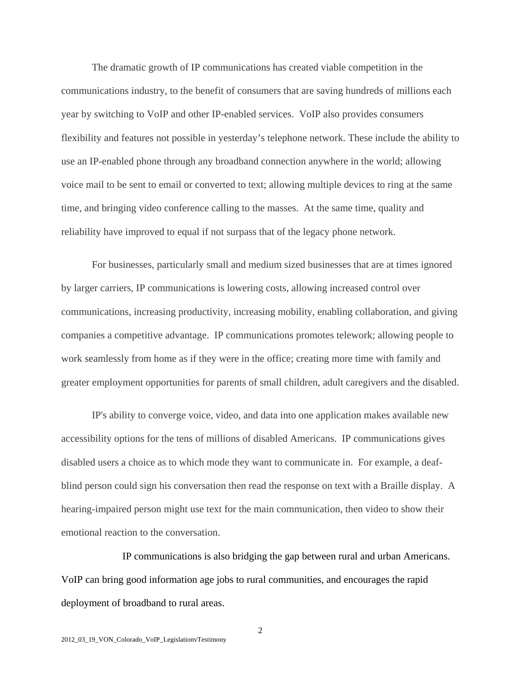The dramatic growth of IP communications has created viable competition in the communications industry, to the benefit of consumers that are saving hundreds of millions each year by switching to VoIP and other IP-enabled services. VoIP also provides consumers flexibility and features not possible in yesterday's telephone network. These include the ability to use an IP-enabled phone through any broadband connection anywhere in the world; allowing voice mail to be sent to email or converted to text; allowing multiple devices to ring at the same time, and bringing video conference calling to the masses. At the same time, quality and reliability have improved to equal if not surpass that of the legacy phone network.

 For businesses, particularly small and medium sized businesses that are at times ignored by larger carriers, IP communications is lowering costs, allowing increased control over communications, increasing productivity, increasing mobility, enabling collaboration, and giving companies a competitive advantage. IP communications promotes telework; allowing people to work seamlessly from home as if they were in the office; creating more time with family and greater employment opportunities for parents of small children, adult caregivers and the disabled.

IP's ability to converge voice, video, and data into one application makes available new accessibility options for the tens of millions of disabled Americans. IP communications gives disabled users a choice as to which mode they want to communicate in. For example, a deafblind person could sign his conversation then read the response on text with a Braille display. A hearing-impaired person might use text for the main communication, then video to show their emotional reaction to the conversation.

 IP communications is also bridging the gap between rural and urban Americans. VoIP can bring good information age jobs to rural communities, and encourages the rapid deployment of broadband to rural areas.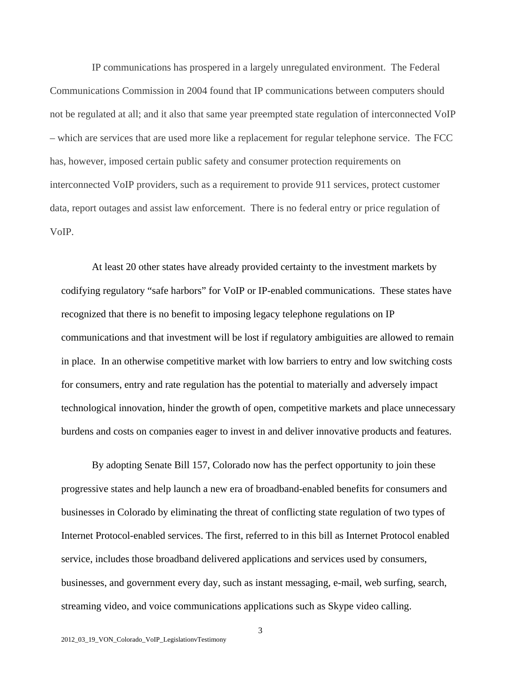IP communications has prospered in a largely unregulated environment. The Federal Communications Commission in 2004 found that IP communications between computers should not be regulated at all; and it also that same year preempted state regulation of interconnected VoIP – which are services that are used more like a replacement for regular telephone service. The FCC has, however, imposed certain public safety and consumer protection requirements on interconnected VoIP providers, such as a requirement to provide 911 services, protect customer data, report outages and assist law enforcement. There is no federal entry or price regulation of VoIP.

At least 20 other states have already provided certainty to the investment markets by codifying regulatory "safe harbors" for VoIP or IP-enabled communications. These states have recognized that there is no benefit to imposing legacy telephone regulations on IP communications and that investment will be lost if regulatory ambiguities are allowed to remain in place. In an otherwise competitive market with low barriers to entry and low switching costs for consumers, entry and rate regulation has the potential to materially and adversely impact technological innovation, hinder the growth of open, competitive markets and place unnecessary burdens and costs on companies eager to invest in and deliver innovative products and features.

By adopting Senate Bill 157, Colorado now has the perfect opportunity to join these progressive states and help launch a new era of broadband-enabled benefits for consumers and businesses in Colorado by eliminating the threat of conflicting state regulation of two types of Internet Protocol-enabled services. The first, referred to in this bill as Internet Protocol enabled service, includes those broadband delivered applications and services used by consumers, businesses, and government every day, such as instant messaging, e-mail, web surfing, search, streaming video, and voice communications applications such as Skype video calling.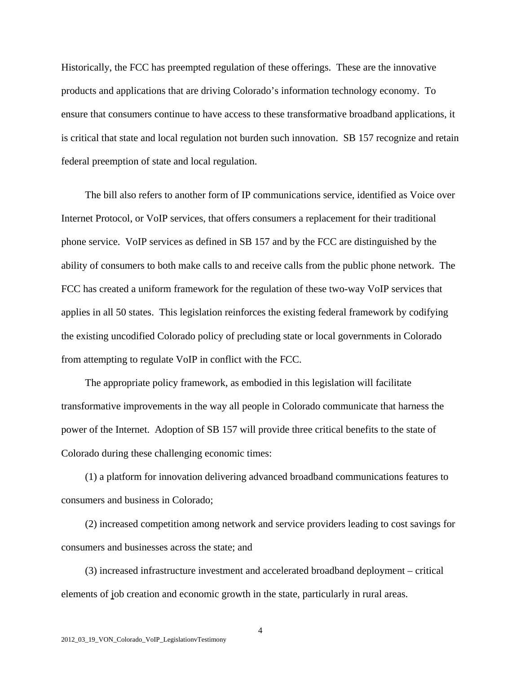Historically, the FCC has preempted regulation of these offerings. These are the innovative products and applications that are driving Colorado's information technology economy. To ensure that consumers continue to have access to these transformative broadband applications, it is critical that state and local regulation not burden such innovation. SB 157 recognize and retain federal preemption of state and local regulation.

 The bill also refers to another form of IP communications service, identified as Voice over Internet Protocol, or VoIP services, that offers consumers a replacement for their traditional phone service. VoIP services as defined in SB 157 and by the FCC are distinguished by the ability of consumers to both make calls to and receive calls from the public phone network. The FCC has created a uniform framework for the regulation of these two-way VoIP services that applies in all 50 states. This legislation reinforces the existing federal framework by codifying the existing uncodified Colorado policy of precluding state or local governments in Colorado from attempting to regulate VoIP in conflict with the FCC.

 The appropriate policy framework, as embodied in this legislation will facilitate transformative improvements in the way all people in Colorado communicate that harness the power of the Internet. Adoption of SB 157 will provide three critical benefits to the state of Colorado during these challenging economic times:

 (1) a platform for innovation delivering advanced broadband communications features to consumers and business in Colorado;

 (2) increased competition among network and service providers leading to cost savings for consumers and businesses across the state; and

 (3) increased infrastructure investment and accelerated broadband deployment – critical elements of job creation and economic growth in the state, particularly in rural areas.